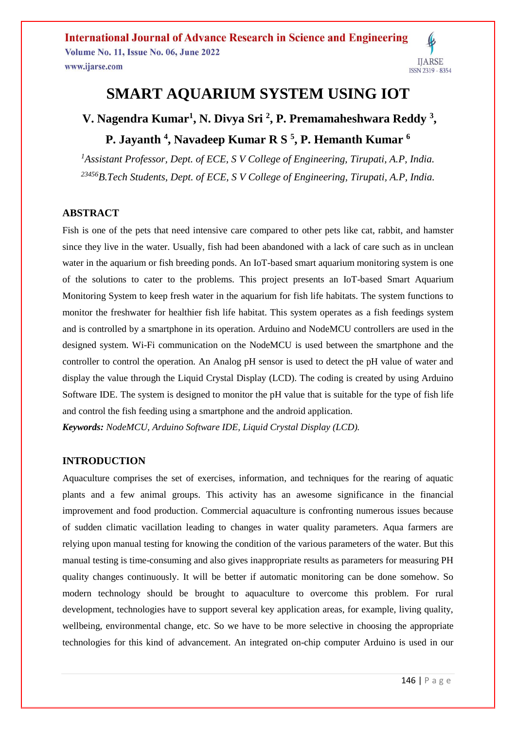

## **SMART AQUARIUM SYSTEM USING IOT**

# **V. Nagendra Kumar<sup>1</sup> , N. Divya Sri <sup>2</sup> , P. Premamaheshwara Reddy <sup>3</sup> , P. Jayanth <sup>4</sup> , Navadeep Kumar R S <sup>5</sup> , P. Hemanth Kumar <sup>6</sup>**

*<sup>1</sup>Assistant Professor, Dept. of ECE, S V College of Engineering, Tirupati, A.P, India. <sup>23456</sup>B.Tech Students, Dept. of ECE, S V College of Engineering, Tirupati, A.P, India.*

### **ABSTRACT**

Fish is one of the pets that need intensive care compared to other pets like cat, rabbit, and hamster since they live in the water. Usually, fish had been abandoned with a lack of care such as in unclean water in the aquarium or fish breeding ponds. An IoT-based smart aquarium monitoring system is one of the solutions to cater to the problems. This project presents an IoT-based Smart Aquarium Monitoring System to keep fresh water in the aquarium for fish life habitats. The system functions to monitor the freshwater for healthier fish life habitat. This system operates as a fish feedings system and is controlled by a smartphone in its operation. Arduino and NodeMCU controllers are used in the designed system. Wi-Fi communication on the NodeMCU is used between the smartphone and the controller to control the operation. An Analog pH sensor is used to detect the pH value of water and display the value through the Liquid Crystal Display (LCD). The coding is created by using Arduino Software IDE. The system is designed to monitor the pH value that is suitable for the type of fish life and control the fish feeding using a smartphone and the android application.

*Keywords: NodeMCU, Arduino Software IDE, Liquid Crystal Display (LCD).*

### **INTRODUCTION**

Aquaculture comprises the set of exercises, information, and techniques for the rearing of aquatic plants and a few animal groups. This activity has an awesome significance in the financial improvement and food production. Commercial aquaculture is confronting numerous issues because of sudden climatic vacillation leading to changes in water quality parameters. Aqua farmers are relying upon manual testing for knowing the condition of the various parameters of the water. But this manual testing is time-consuming and also gives inappropriate results as parameters for measuring PH quality changes continuously. It will be better if automatic monitoring can be done somehow. So modern technology should be brought to aquaculture to overcome this problem. For rural development, technologies have to support several key application areas, for example, living quality, wellbeing, environmental change, etc. So we have to be more selective in choosing the appropriate technologies for this kind of advancement. An integrated on-chip computer Arduino is used in our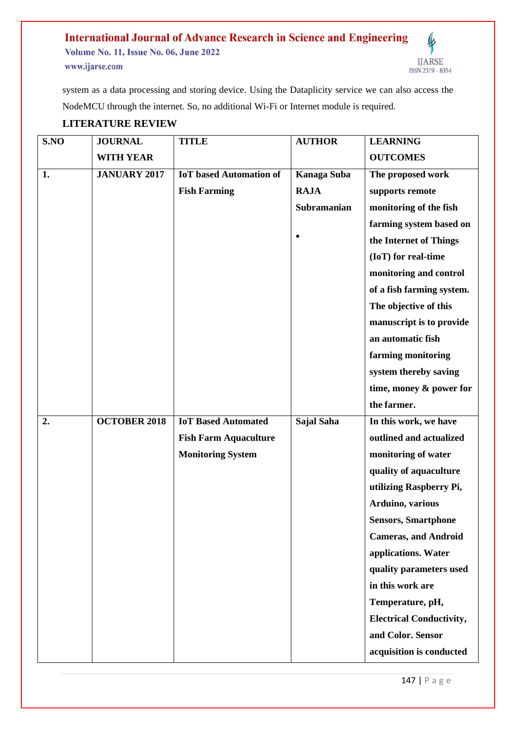#### **International Journal of Advance Research in Science and Engineering**  $\pmb{\ell}$ **Volume No. 11, Issue No. 06, June 2022 IJARSE** www.ijarse.com ISSN 2319 - 8354

system as a data processing and storing device. Using the Dataplicity service we can also access the NodeMCU through the internet. So, no additional Wi-Fi or Internet module is required.

## **LITERATURE REVIEW**

| S.NO | <b>JOURNAL</b>      | <b>TITLE</b>                   | <b>AUTHOR</b> | <b>LEARNING</b>                 |
|------|---------------------|--------------------------------|---------------|---------------------------------|
|      | <b>WITH YEAR</b>    |                                |               | <b>OUTCOMES</b>                 |
| 1.   | <b>JANUARY 2017</b> | <b>IoT</b> based Automation of | Kanaga Suba   | The proposed work               |
|      |                     | <b>Fish Farming</b>            | <b>RAJA</b>   | supports remote                 |
|      |                     |                                | Subramanian   | monitoring of the fish          |
|      |                     |                                |               | farming system based on         |
|      |                     |                                |               | the Internet of Things          |
|      |                     |                                |               | (IoT) for real-time             |
|      |                     |                                |               | monitoring and control          |
|      |                     |                                |               | of a fish farming system.       |
|      |                     |                                |               | The objective of this           |
|      |                     |                                |               | manuscript is to provide        |
|      |                     |                                |               | an automatic fish               |
|      |                     |                                |               | farming monitoring              |
|      |                     |                                |               | system thereby saving           |
|      |                     |                                |               | time, money & power for         |
|      |                     |                                |               | the farmer.                     |
| 2.   | <b>OCTOBER 2018</b> | <b>IoT Based Automated</b>     | Sajal Saha    | In this work, we have           |
|      |                     | <b>Fish Farm Aquaculture</b>   |               | outlined and actualized         |
|      |                     | <b>Monitoring System</b>       |               | monitoring of water             |
|      |                     |                                |               | quality of aquaculture          |
|      |                     |                                |               | utilizing Raspberry Pi,         |
|      |                     |                                |               | Arduino, various                |
|      |                     |                                |               | <b>Sensors, Smartphone</b>      |
|      |                     |                                |               | <b>Cameras, and Android</b>     |
|      |                     |                                |               | applications. Water             |
|      |                     |                                |               | quality parameters used         |
|      |                     |                                |               | in this work are                |
|      |                     |                                |               | Temperature, pH,                |
|      |                     |                                |               | <b>Electrical Conductivity,</b> |
|      |                     |                                |               | and Color. Sensor               |
|      |                     |                                |               | acquisition is conducted        |

147 | P a g e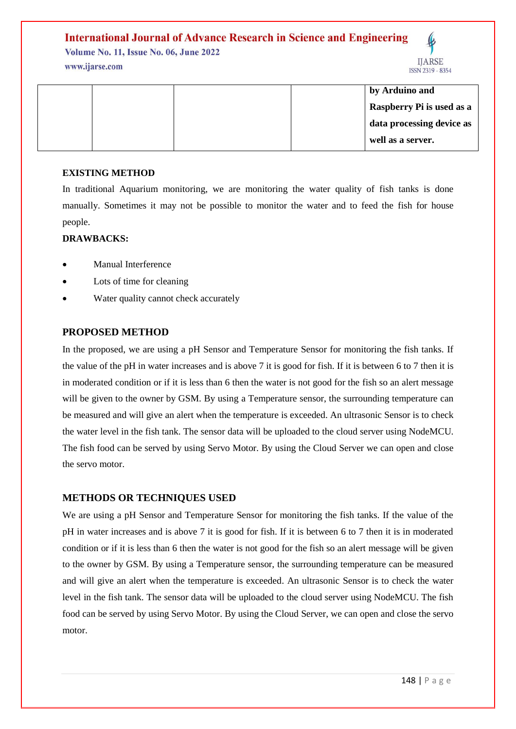## **International Journal of Advance Research in Science and Engineering**

**Volume No. 11, Issue No. 06, June 2022** www.ijarse.com



|  |  | by Arduino and            |
|--|--|---------------------------|
|  |  | Raspberry Pi is used as a |
|  |  | data processing device as |
|  |  | well as a server.         |

### **EXISTING METHOD**

In traditional Aquarium monitoring, we are monitoring the water quality of fish tanks is done manually. Sometimes it may not be possible to monitor the water and to feed the fish for house people.

### **DRAWBACKS:**

- Manual Interference
- Lots of time for cleaning
- Water quality cannot check accurately

### **PROPOSED METHOD**

In the proposed, we are using a pH Sensor and Temperature Sensor for monitoring the fish tanks. If the value of the pH in water increases and is above 7 it is good for fish. If it is between 6 to 7 then it is in moderated condition or if it is less than 6 then the water is not good for the fish so an alert message will be given to the owner by GSM. By using a Temperature sensor, the surrounding temperature can be measured and will give an alert when the temperature is exceeded. An ultrasonic Sensor is to check the water level in the fish tank. The sensor data will be uploaded to the cloud server using NodeMCU. The fish food can be served by using Servo Motor. By using the Cloud Server we can open and close the servo motor.

### **METHODS OR TECHNIQUES USED**

We are using a pH Sensor and Temperature Sensor for monitoring the fish tanks. If the value of the pH in water increases and is above 7 it is good for fish. If it is between 6 to 7 then it is in moderated condition or if it is less than 6 then the water is not good for the fish so an alert message will be given to the owner by GSM. By using a Temperature sensor, the surrounding temperature can be measured and will give an alert when the temperature is exceeded. An ultrasonic Sensor is to check the water level in the fish tank. The sensor data will be uploaded to the cloud server using NodeMCU. The fish food can be served by using Servo Motor. By using the Cloud Server, we can open and close the servo motor.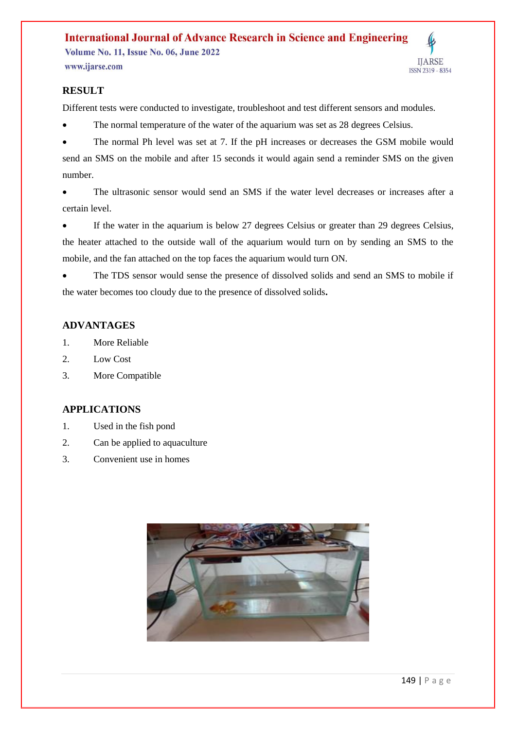## **International Journal of Advance Research in Science and Engineering Volume No. 11, Issue No. 06, June 2022**

www.ijarse.com

# **IJARSE** ISSN 2319 - 8354

### **RESULT**

Different tests were conducted to investigate, troubleshoot and test different sensors and modules.

• The normal temperature of the water of the aquarium was set as 28 degrees Celsius.

 The normal Ph level was set at 7. If the pH increases or decreases the GSM mobile would send an SMS on the mobile and after 15 seconds it would again send a reminder SMS on the given number.

 The ultrasonic sensor would send an SMS if the water level decreases or increases after a certain level.

 If the water in the aquarium is below 27 degrees Celsius or greater than 29 degrees Celsius, the heater attached to the outside wall of the aquarium would turn on by sending an SMS to the mobile, and the fan attached on the top faces the aquarium would turn ON.

 The TDS sensor would sense the presence of dissolved solids and send an SMS to mobile if the water becomes too cloudy due to the presence of dissolved solids**.**

## **ADVANTAGES**

- 1. More Reliable
- 2. Low Cost
- 3. More Compatible

## **APPLICATIONS**

- 1. Used in the fish pond
- 2. Can be applied to aquaculture
- 3. Convenient use in homes

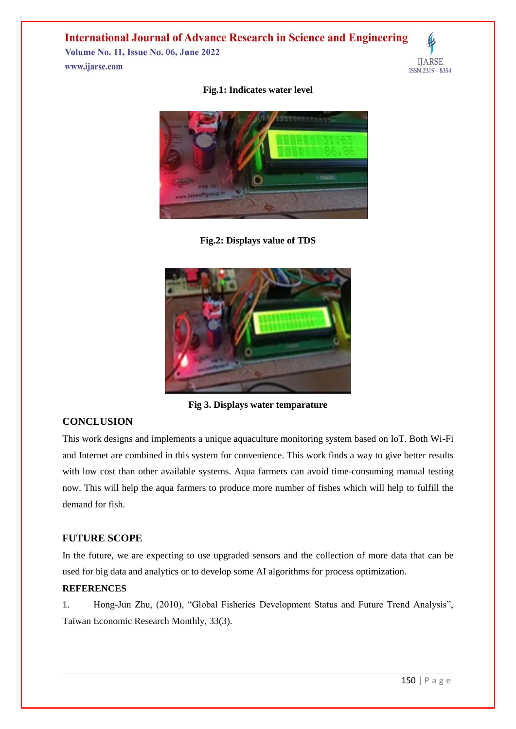## **International Journal of Advance Research in Science and Engineering**

**Volume No. 11, Issue No. 06, June 2022** www.ijarse.com



### **Fig.1: Indicates water level**



**Fig.2: Displays value of TDS** 



**Fig 3. Displays water temparature**

### **CONCLUSION**

This work designs and implements a unique aquaculture monitoring system based on IoT. Both Wi-Fi and Internet are combined in this system for convenience. This work finds a way to give better results with low cost than other available systems. Aqua farmers can avoid time-consuming manual testing now. This will help the aqua farmers to produce more number of fishes which will help to fulfill the demand for fish.

### **FUTURE SCOPE**

In the future, we are expecting to use upgraded sensors and the collection of more data that can be used for big data and analytics or to develop some AI algorithms for process optimization.

### **REFERENCES**

1. Hong-Jun Zhu, (2010), "Global Fisheries Development Status and Future Trend Analysis", Taiwan Economic Research Monthly, 33(3).